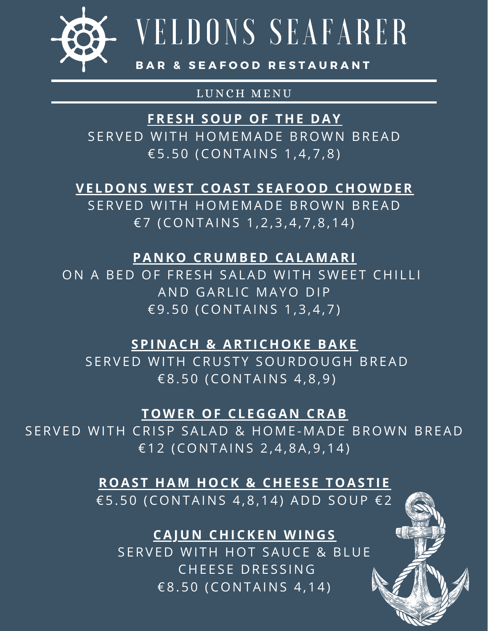

# VELDONS SEAFARER

# **B A R & S E A F O O D R E S T A U R A N T**

#### LUNCH MENU

# **FRE SH SOUP OF THE D AY** SERVED WITH HOMEMADE BROWN BREAD €  $5.50$  (CONTAINS 1,4,7,8)

# **VE L DO N S WE S T COAS T S EAFOOD CHOWD ER**

SERVED WITH HOMEMADE BROWN BREAD €7 (CONTAINS 1,2,3,4,7,8,14)

## **PA N KO CRUMBE D CALAMARI**

ON A BED OF FRESH SALAD WITH SWEET CHILLI AND GARLIC MAYO DIP € 9.50 (CONTAINS 1, 3, 4, 7)

# **SPI N ACH & ART ICHOKE BAKE**

SERVED WITH CRUSTY SOURDOUGH BREAD  $€8.50 (CONTAINS 4, 8, 9)$ 

# **TOWER OF CL E G G A N CRAB**

SERVED WITH CRISP SALAD & HOME-MADE BROWN BREAD €12 (CONTAINS 2,4,8A,9,14)

### **ROAST HAM HOCK & CHEESE TOASTIE**

€5.50 (CONTAINS 4,8,14) ADD SOUP  $€2$ 

#### **CAJU N CHICKE N WI N G S**

SERVED WITH HOT SAUCE & BLUE CHEESE DRESSING €8.50 (CONTAINS 4,14)